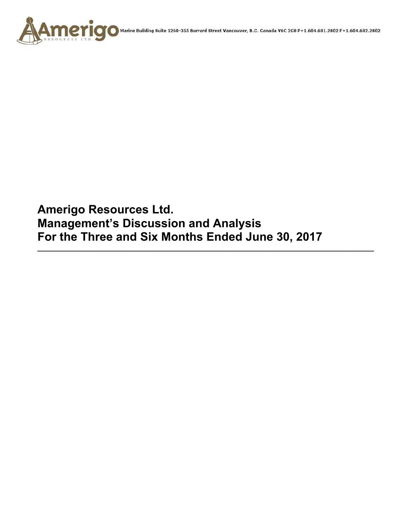

**AMCYICO** Marine Building Suite 1260-355 Burrard Street Vancouver, B.C. Canada V6C 2G8 P+1.604.681.2802 F+1.604.682.2802

**Amerigo Resources Ltd. Management's Discussion and Analysis For the Three and Six Months Ended June 30, 2017** 

**\_\_\_\_\_\_\_\_\_\_\_\_\_\_\_\_\_\_\_\_\_\_\_\_\_\_\_\_\_\_\_\_\_\_\_\_\_\_\_\_\_\_\_\_\_\_\_\_\_\_\_\_\_\_\_\_\_\_\_\_\_\_\_\_\_\_\_\_\_\_\_\_\_\_\_\_\_\_\_\_\_\_\_\_**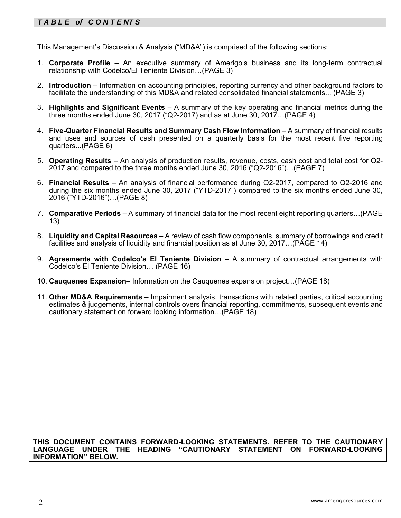# *T A B L E of C O N T E NT S*

This Management's Discussion & Analysis ("MD&A") is comprised of the following sections:

- 1. **Corporate Profile**  An executive summary of Amerigo's business and its long-term contractual relationship with Codelco/El Teniente Division…(PAGE 3)
- 2. **Introduction**  Information on accounting principles, reporting currency and other background factors to facilitate the understanding of this MD&A and related consolidated financial statements... (PAGE 3)
- 3. **Highlights and Significant Events** A summary of the key operating and financial metrics during the three months ended June 30, 2017 ("Q2-2017) and as at June 30, 2017…(PAGE 4)
- 4. **Five-Quarter Financial Results and Summary Cash Flow Information**  A summary of financial results and uses and sources of cash presented on a quarterly basis for the most recent five reporting quarters...(PAGE 6)
- 5. **Operating Results** An analysis of production results, revenue, costs, cash cost and total cost for Q2- 2017 and compared to the three months ended June 30, 2016 ("Q2-2016")…(PAGE 7)
- 6. **Financial Results**  An analysis of financial performance during Q2-2017, compared to Q2-2016 and during the six months ended June 30, 2017 ("YTD-2017") compared to the six months ended June 30, 2016 ("YTD-2016")…(PAGE 8)
- 7. **Comparative Periods** A summary of financial data for the most recent eight reporting quarters…(PAGE 13)
- 8. **Liquidity and Capital Resources** A review of cash flow components, summary of borrowings and credit facilities and analysis of liquidity and financial position as at June 30, 2017…(PAGE 14)
- 9. **Agreements with Codelco's El Teniente Division** A summary of contractual arrangements with Codelco's El Teniente Division… (PAGE 16)
- 10. **Cauquenes Expansion–** Information on the Cauquenes expansion project…(PAGE 18)
- 11. **Other MD&A Requirements**  Impairment analysis, transactions with related parties, critical accounting estimates & judgements, internal controls overs financial reporting, commitments, subsequent events and cautionary statement on forward looking information…(PAGE 18)

#### **THIS DOCUMENT CONTAINS FORWARD-LOOKING STATEMENTS. REFER TO THE CAUTIONARY LANGUAGE UNDER THE HEADING "CAUTIONARY STATEMENT ON FORWARD-LOOKING INFORMATION" BELOW.**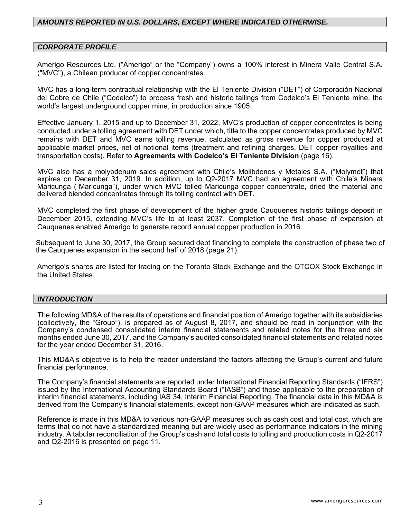## *AMOUNTS REPORTED IN U.S. DOLLARS, EXCEPT WHERE INDICATED OTHERWISE.*

### *CORPORATE PROFILE*

Amerigo Resources Ltd. ("Amerigo" or the "Company") owns a 100% interest in Minera Valle Central S.A. ("MVC"), a Chilean producer of copper concentrates.

MVC has a long-term contractual relationship with the El Teniente Division ("DET") of Corporación Nacional del Cobre de Chile ("Codelco") to process fresh and historic tailings from Codelco's El Teniente mine, the world's largest underground copper mine, in production since 1905.

Effective January 1, 2015 and up to December 31, 2022, MVC's production of copper concentrates is being conducted under a tolling agreement with DET under which, title to the copper concentrates produced by MVC remains with DET and MVC earns tolling revenue, calculated as gross revenue for copper produced at applicable market prices, net of notional items (treatment and refining charges, DET copper royalties and transportation costs). Refer to **Agreements with Codelco's El Teniente Division** (page 16).

MVC also has a molybdenum sales agreement with Chile's Molibdenos y Metales S.A. ("Molymet") that expires on December 31, 2019. In addition, up to Q2-2017 MVC had an agreement with Chile's Minera Maricunga ("Maricunga"), under which MVC tolled Maricunga copper concentrate, dried the material and delivered blended concentrates through its tolling contract with DET.

MVC completed the first phase of development of the higher grade Cauquenes historic tailings deposit in December 2015, extending MVC's life to at least 2037. Completion of the first phase of expansion at Cauquenes enabled Amerigo to generate record annual copper production in 2016.

Subsequent to June 30, 2017, the Group secured debt financing to complete the construction of phase two of the Cauquenes expansion in the second half of 2018 (page 21).

Amerigo's shares are listed for trading on the Toronto Stock Exchange and the OTCQX Stock Exchange in the United States.

#### *INTRODUCTION*

The following MD&A of the results of operations and financial position of Amerigo together with its subsidiaries (collectively, the "Group"), is prepared as of August 8, 2017, and should be read in conjunction with the Company's condensed consolidated interim financial statements and related notes for the three and six months ended June 30, 2017, and the Company's audited consolidated financial statements and related notes for the year ended December 31, 2016.

This MD&A's objective is to help the reader understand the factors affecting the Group's current and future financial performance.

The Company's financial statements are reported under International Financial Reporting Standards ("IFRS") issued by the International Accounting Standards Board ("IASB") and those applicable to the preparation of interim financial statements, including IAS 34, Interim Financial Reporting. The financial data in this MD&A is derived from the Company's financial statements, except non-GAAP measures which are indicated as such.

Reference is made in this MD&A to various non-GAAP measures such as cash cost and total cost, which are terms that do not have a standardized meaning but are widely used as performance indicators in the mining industry. A tabular reconciliation of the Group's cash and total costs to tolling and production costs in Q2-2017 and Q2-2016 is presented on page 11.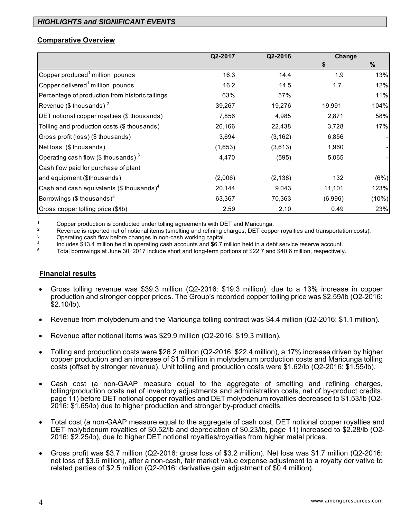## **Comparative Overview**

|                                                 | Q2-2017 | Q2-2016  | Change  |       |
|-------------------------------------------------|---------|----------|---------|-------|
|                                                 |         |          | \$      | %     |
| Copper produced <sup>1</sup> million pounds     | 16.3    | 14.4     | 1.9     | 13%   |
| Copper delivered <sup>1</sup> million pounds    | 16.2    | 14.5     | 1.7     | 12%   |
| Percentage of production from historic tailings | 63%     | 57%      |         | 11%   |
| Revenue (\$ thousands) $2^2$                    | 39,267  | 19,276   | 19,991  | 104%  |
| DET notional copper royalties (\$ thousands)    | 7,856   | 4,985    | 2,871   | 58%   |
| Tolling and production costs (\$ thousands)     | 26,166  | 22,438   | 3,728   | 17%   |
| Gross profit (loss) (\$ thousands)              | 3,694   | (3, 162) | 6,856   |       |
| Netloss (\$ thousands)                          | (1,653) | (3,613)  | 1,960   |       |
| Operating cash flow (\$ thousands) $3$          | 4,470   | (595)    | 5,065   |       |
| Cash flow paid for purchase of plant            |         |          |         |       |
| and equipment (\$thousands)                     | (2,006) | (2, 138) | 132     | (6%)  |
| Cash and cash equivalents (\$ thousands) $4$    | 20,144  | 9,043    | 11,101  | 123%  |
| Borrowings (\$ thousands) $5$                   | 63,367  | 70,363   | (6,996) | (10%) |
| Gross copper tolling price (\$/lb)              | 2.59    | 2.10     | 0.49    | 23%   |

Copper production is conducted under tolling agreements with DET and Maricunga.<br>
Pevenue is reported net of notional items (smelting and refining charges, DET copper royalties and transportation costs).<br>
9. Operating cash

## **Financial results**

- Gross tolling revenue was \$39.3 million (Q2-2016: \$19.3 million), due to a 13% increase in copper production and stronger copper prices. The Group's recorded copper tolling price was \$2.59/lb (Q2-2016: \$2.10/lb).
- Revenue from molybdenum and the Maricunga tolling contract was \$4.4 million (Q2-2016: \$1.1 million).
- Revenue after notional items was \$29.9 million (Q2-2016: \$19.3 million).
- Tolling and production costs were \$26.2 million (Q2-2016: \$22.4 million), a 17% increase driven by higher copper production and an increase of \$1.5 million in molybdenum production costs and Maricunga tolling costs (offset by stronger revenue). Unit tolling and production costs were \$1.62/lb (Q2-2016: \$1.55/lb).
- Cash cost (a non-GAAP measure equal to the aggregate of smelting and refining charges, tolling/production costs net of inventory adjustments and administration costs, net of by-product credits, page 11) before DET notional copper royalties and DET molybdenum royalties decreased to \$1.53/lb (Q2- 2016: \$1.65/lb) due to higher production and stronger by-product credits.
- Total cost (a non-GAAP measure equal to the aggregate of cash cost, DET notional copper royalties and DET molybdenum royalties of \$0.52/lb and depreciation of \$0.23/lb, page 11) increased to \$2.28/lb (Q2- 2016: \$2.25/lb), due to higher DET notional royalties/royalties from higher metal prices.
- Gross profit was \$3.7 million (Q2-2016: gross loss of \$3.2 million). Net loss was \$1.7 million (Q2-2016: net loss of \$3.6 million), after a non-cash, fair market value expense adjustment to a royalty derivative to related parties of \$2.5 million (Q2-2016: derivative gain adjustment of \$0.4 million).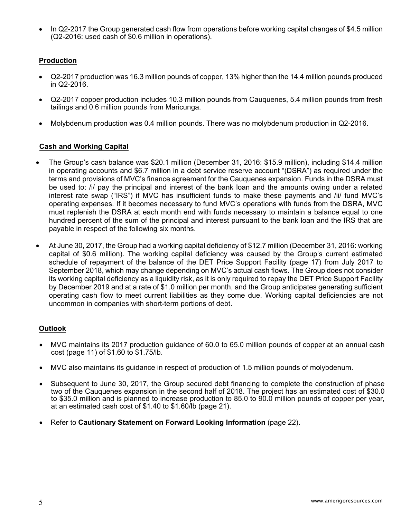• In Q2-2017 the Group generated cash flow from operations before working capital changes of \$4.5 million (Q2-2016: used cash of \$0.6 million in operations).

### **Production**

- Q2-2017 production was 16.3 million pounds of copper, 13% higher than the 14.4 million pounds produced in Q2-2016.
- Q2-2017 copper production includes 10.3 million pounds from Cauquenes, 5.4 million pounds from fresh tailings and 0.6 million pounds from Maricunga.
- Molybdenum production was 0.4 million pounds. There was no molybdenum production in Q2-2016.

#### **Cash and Working Capital**

- The Group's cash balance was \$20.1 million (December 31, 2016: \$15.9 million), including \$14.4 million in operating accounts and \$6.7 million in a debt service reserve account "(DSRA") as required under the terms and provisions of MVC's finance agreement for the Cauquenes expansion. Funds in the DSRA must be used to: /i/ pay the principal and interest of the bank loan and the amounts owing under a related interest rate swap ("IRS") if MVC has insufficient funds to make these payments and /ii/ fund MVC's operating expenses. If it becomes necessary to fund MVC's operations with funds from the DSRA, MVC must replenish the DSRA at each month end with funds necessary to maintain a balance equal to one hundred percent of the sum of the principal and interest pursuant to the bank loan and the IRS that are payable in respect of the following six months.
- At June 30, 2017, the Group had a working capital deficiency of \$12.7 million (December 31, 2016: working capital of \$0.6 million). The working capital deficiency was caused by the Group's current estimated schedule of repayment of the balance of the DET Price Support Facility (page 17) from July 2017 to September 2018, which may change depending on MVC's actual cash flows. The Group does not consider its working capital deficiency as a liquidity risk, as it is only required to repay the DET Price Support Facility by December 2019 and at a rate of \$1.0 million per month, and the Group anticipates generating sufficient operating cash flow to meet current liabilities as they come due. Working capital deficiencies are not uncommon in companies with short-term portions of debt.

## **Outlook**

- MVC maintains its 2017 production guidance of 60.0 to 65.0 million pounds of copper at an annual cash cost (page 11) of \$1.60 to \$1.75/lb.
- MVC also maintains its guidance in respect of production of 1.5 million pounds of molybdenum.
- Subsequent to June 30, 2017, the Group secured debt financing to complete the construction of phase two of the Cauquenes expansion in the second half of 2018. The project has an estimated cost of \$30.0 to \$35.0 million and is planned to increase production to 85.0 to 90.0 million pounds of copper per year, at an estimated cash cost of \$1.40 to \$1.60/lb (page 21).
- Refer to **Cautionary Statement on Forward Looking Information** (page 22).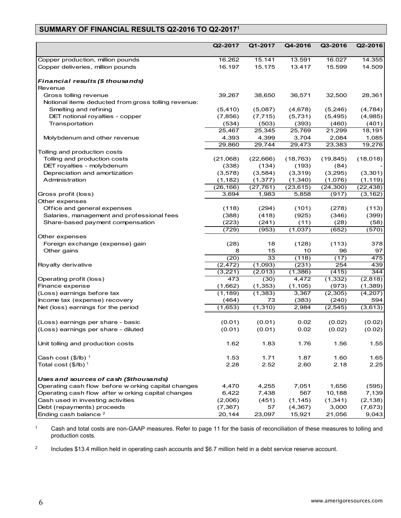## **SUMMARY OF FINANCIAL RESULTS Q2-2016 TO Q2-20171**

|                                                     | Q2-2017   | Q1-2017   | Q4-2016   | Q3-2016            | Q2-2016   |
|-----------------------------------------------------|-----------|-----------|-----------|--------------------|-----------|
|                                                     |           |           |           |                    |           |
| Copper production, million pounds                   | 16.262    | 15.141    | 13.591    | 16.027             | 14.355    |
| Copper deliveries, million pounds                   | 16.197    | 15.175    | 13.417    | 15.599             | 14.509    |
| Financial results (\$ thousands)                    |           |           |           |                    |           |
| Revenue                                             |           |           |           |                    |           |
| Gross tolling revenue                               | 39,267    | 38,650    | 36,571    | 32,500             | 28,361    |
| Notional items deducted from gross tolling revenue: |           |           |           |                    |           |
| Smelting and refining                               | (5, 410)  | (5,087)   | (4,678)   | (5,246)            | (4,784)   |
| DET notional royalties - copper                     | (7, 856)  | (7, 715)  | (5,731)   | (5, 495)           | (4,985)   |
| Transportation                                      | (534)     | (503)     | (393)     | (460)              | (401)     |
|                                                     | 25,467    | 25,345    | 25,769    | 21,299             | 18,191    |
| Molybdenum and other revenue                        | 4,393     | 4,399     | 3,704     | 2,084              | 1,085     |
|                                                     | 29,860    | 29,744    | 29,473    | 23,383             | 19,276    |
| Tolling and production costs                        |           |           |           |                    |           |
| Tolling and production costs                        | (21,068)  | (22, 666) | (18, 763) | (19, 845)          | (18,018)  |
| DET royalties - molybdenum                          | (338)     | (134)     | (193)     | (84)               |           |
| Depreciation and amortization                       | (3,578)   | (3,584)   | (3,319)   | (3,295)            | (3,301)   |
| Administration                                      | (1, 182)  | (1, 377)  | (1, 340)  | (1,076)            | (1, 119)  |
|                                                     | (26, 166) | (27, 761) | (23, 615) | (24, 300)          | (22, 438) |
| Gross profit (loss)                                 | 3,694     | 1,983     | 5,858     | (917)              | (3, 162)  |
| Other expenses                                      |           |           |           |                    |           |
| Office and general expenses                         | (118)     | (294)     | (101)     | (278)              | (113)     |
| Salaries, management and professional fees          | (388)     | (418)     | (925)     | (346)              | (399)     |
| Share-based payment compensation                    | (223)     | (241)     | (11)      | (28)               | (58)      |
|                                                     | (729)     | (953)     | (1,037)   | (652)              | (570)     |
| Other expenses                                      |           |           |           |                    |           |
| Foreign exchange (expense) gain                     | (28)      | 18        | (128)     | (113)              | 378       |
| Other gains                                         | 8         | 15        | 10        | 96                 | 97        |
|                                                     | (20)      | 33        | (118)     | (17)               | 475       |
| Royalty derivative                                  | (2, 472)  | (1,093)   | (231)     | 254                | 439       |
|                                                     | (3,221)   | (2,013)   | (1,386)   | $(\overline{415})$ | 344       |
| Operating profit (loss)                             | 473       | (30)      | 4,472     | (1, 332)           | (2,818)   |
| Finance expense                                     | (1,662)   | (1, 353)  | (1, 105)  | (973)              | (1,389)   |
| (Loss) earnings before tax                          | (1, 189)  | (1, 383)  | 3,367     | (2,305)            | (4,207)   |
| Income tax (expense) recovery                       | (464)     | 73        | (383)     | (240)              | 594       |
| Net (loss) earnings for the period                  | (1,653)   | (1, 310)  | 2,984     | (2, 545)           | (3,613)   |
|                                                     |           |           |           |                    |           |
| (Loss) earnings per share - basic                   | (0.01)    | (0.01)    | 0.02      | (0.02)             | (0.02)    |
|                                                     | (0.01)    | (0.01)    | 0.02      |                    |           |
| (Loss) earnings per share - diluted                 |           |           |           | (0.02)             | (0.02)    |
| Unit tolling and production costs                   | 1.62      | 1.83      | 1.76      | 1.56               | 1.55      |
| Cash cost $(\$/IB)^1$                               |           | 1.71      | 1.87      |                    |           |
| Total cost $(\$/IB)^1$                              | 1.53      |           |           | 1.60               | 1.65      |
|                                                     | 2.28      | 2.52      | 2.60      | 2.18               | 2.25      |
| Uses and sources of cash (\$thousands)              |           |           |           |                    |           |
| Operating cash flow before w orking capital changes | 4,470     | 4,255     | 7,051     | 1,656              | (595)     |
| Operating cash flow after w orking capital changes  | 6,422     | 7,438     | 567       | 10,188             | 7,139     |
| Cash used in investing activities                   | (2,006)   | (451)     | (1, 145)  | (1, 341)           | (2, 138)  |
| Debt (repayments) proceeds                          | (7, 367)  | 57        | (4, 367)  | 3,000              | (7, 673)  |
| Ending cash balance <sup>2</sup>                    | 20,144    | 23,097    | 15,921    | 21,056             | 9,043     |

<sup>1</sup> Cash and total costs are non-GAAP measures. Refer to page 11 for the basis of reconciliation of these measures to tolling and production costs.

2 Includes \$13.4 million held in operating cash accounts and \$6.7 million held in a debt service reserve account.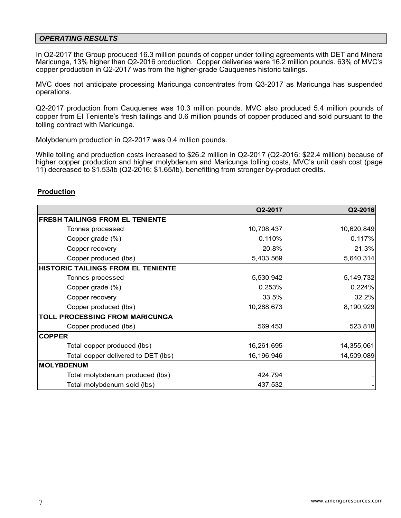#### *OPERATING RESULTS*

In Q2-2017 the Group produced 16.3 million pounds of copper under tolling agreements with DET and Minera Maricunga, 13% higher than Q2-2016 production. Copper deliveries were 16.2 million pounds. 63% of MVC's copper production in Q2-2017 was from the higher-grade Cauquenes historic tailings.

MVC does not anticipate processing Maricunga concentrates from Q3-2017 as Maricunga has suspended operations.

Q2-2017 production from Cauquenes was 10.3 million pounds. MVC also produced 5.4 million pounds of copper from El Teniente's fresh tailings and 0.6 million pounds of copper produced and sold pursuant to the tolling contract with Maricunga.

Molybdenum production in Q2-2017 was 0.4 million pounds.

While tolling and production costs increased to \$26.2 million in Q2-2017 (Q2-2016: \$22.4 million) because of higher copper production and higher molybdenum and Maricunga tolling costs, MVC's unit cash cost (page 11) decreased to \$1.53/lb (Q2-2016: \$1.65/lb), benefitting from stronger by-product credits.

#### **Production**

|                                           | Q2-2017      | Q2-2016    |
|-------------------------------------------|--------------|------------|
| <b>FRESH TAILINGS FROM EL TENIENTE</b>    |              |            |
| Tonnes processed                          | 10,708,437   | 10,620,849 |
| Copper grade (%)                          | 0.110%       | 0.117%     |
| Copper recovery                           | 20.8%        | 21.3%      |
| Copper produced (lbs)                     | 5,403,569    | 5,640,314  |
| <b>HISTORIC TAILINGS FROM EL TENIENTE</b> |              |            |
| Tonnes processed                          | 5,530,942    | 5,149,732  |
| Copper grade (%)                          | 0.253%       | 0.224%     |
| Copper recovery                           | 33.5%        | 32.2%      |
| Copper produced (lbs)                     | 10,288,673   | 8,190,929  |
| <b>TOLL PROCESSING FROM MARICUNGA</b>     |              |            |
| Copper produced (lbs)                     | 569,453      | 523,818    |
| <b>COPPER</b>                             |              |            |
| Total copper produced (lbs)               | 16,261,695   | 14,355,061 |
| Total copper delivered to DET (lbs)       | 16, 196, 946 | 14,509,089 |
| <b>MOLYBDENUM</b>                         |              |            |
| Total molybdenum produced (lbs)           | 424,794      |            |
| Total molybdenum sold (lbs)               | 437,532      |            |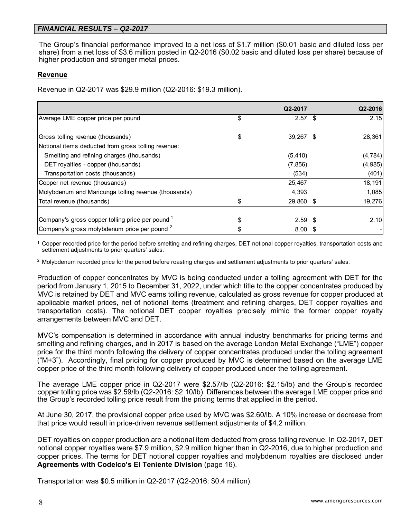## *FINANCIAL RESULTS – Q2-2017*

The Group's financial performance improved to a net loss of \$1.7 million (\$0.01 basic and diluted loss per share) from a net loss of \$3.6 million posted in Q2-2016 (\$0.02 basic and diluted loss per share) because of higher production and stronger metal prices.

### **Revenue**

Revenue in Q2-2017 was \$29.9 million (Q2-2016: \$19.3 million).

|                                                         | Q2-2017           | Q2-2016  |
|---------------------------------------------------------|-------------------|----------|
| Average LME copper price per pound                      | \$<br>$2.57$ \$   | 2.15     |
| Gross tolling revenue (thousands)                       | \$<br>$39,267$ \$ | 28,361   |
| Notional items deducted from gross tolling revenue:     |                   |          |
| Smelting and refining charges (thousands)               | (5, 410)          | (4, 784) |
| DET royalties - copper (thousands)                      | (7, 856)          | (4,985)  |
| Transportation costs (thousands)                        | (534)             | (401)    |
| Copper net revenue (thousands)                          | 25,467            | 18,191   |
| Molybdenum and Maricunga tolling revenue (thousands)    | 4,393             | 1,085    |
| Total revenue (thousands)                               | \$<br>29,860 \$   | 19,276   |
| Company's gross copper tolling price per pound 1        | $2.59$ \$         | 2.10     |
| Company's gross molybdenum price per pound <sup>2</sup> | $8.00\,$ \$       |          |

<sup>1</sup> Copper recorded price for the period before smelting and refining charges, DET notional copper royalties, transportation costs and settlement adjustments to prior quarters' sales.

 $2$  Molybdenum recorded price for the period before roasting charges and settlement adjustments to prior quarters' sales.

Production of copper concentrates by MVC is being conducted under a tolling agreement with DET for the period from January 1, 2015 to December 31, 2022, under which title to the copper concentrates produced by MVC is retained by DET and MVC earns tolling revenue, calculated as gross revenue for copper produced at applicable market prices, net of notional items (treatment and refining charges, DET copper royalties and transportation costs). The notional DET copper royalties precisely mimic the former copper royalty arrangements between MVC and DET.

MVC's compensation is determined in accordance with annual industry benchmarks for pricing terms and smelting and refining charges, and in 2017 is based on the average London Metal Exchange ("LME") copper price for the third month following the delivery of copper concentrates produced under the tolling agreement ("M+3"). Accordingly, final pricing for copper produced by MVC is determined based on the average LME copper price of the third month following delivery of copper produced under the tolling agreement.

The average LME copper price in Q2-2017 were \$2.57/lb (Q2-2016: \$2.15/lb) and the Group's recorded copper tolling price was \$2.59/lb (Q2-2016: \$2.10/lb). Differences between the average LME copper price and the Group's recorded tolling price result from the pricing terms that applied in the period.

At June 30, 2017, the provisional copper price used by MVC was \$2.60/lb. A 10% increase or decrease from that price would result in price-driven revenue settlement adjustments of \$4.2 million.

DET royalties on copper production are a notional item deducted from gross tolling revenue. In Q2-2017, DET notional copper royalties were \$7.9 million, \$2.9 million higher than in Q2-2016, due to higher production and copper prices. The terms for DET notional copper royalties and molybdenum royalties are disclosed under **Agreements with Codelco's El Teniente Division** (page 16).

Transportation was \$0.5 million in Q2-2017 (Q2-2016: \$0.4 million).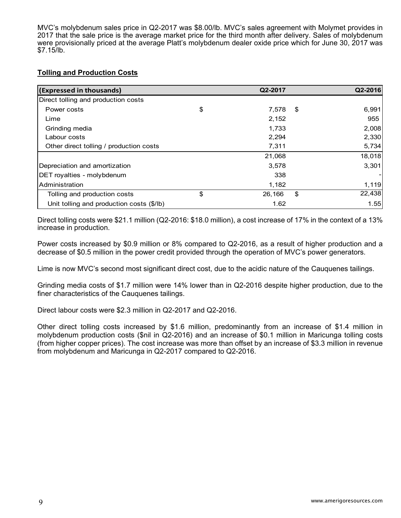MVC's molybdenum sales price in Q2-2017 was \$8.00/lb. MVC's sales agreement with Molymet provides in 2017 that the sale price is the average market price for the third month after delivery. Sales of molybdenum were provisionally priced at the average Platt's molybdenum dealer oxide price which for June 30, 2017 was \$7.15/lb.

## **Tolling and Production Costs**

| (Expressed in thousands)                  | Q2-2017      |                   | Q2-2016 |
|-------------------------------------------|--------------|-------------------|---------|
| Direct tolling and production costs       |              |                   |         |
| Power costs                               | \$<br>7,578  | - \$              | 6,991   |
| Lime                                      | 2,152        |                   | 955     |
| Grinding media                            | 1,733        |                   | 2,008   |
| Labour costs                              | 2,294        |                   | 2,330   |
| Other direct tolling / production costs   | 7,311        |                   | 5,734   |
|                                           | 21,068       |                   | 18,018  |
| Depreciation and amortization             | 3,578        |                   | 3,301   |
| DET royalties - molybdenum                | 338          |                   |         |
| Administration                            | 1,182        |                   | 1,119   |
| Tolling and production costs              | \$<br>26,166 | $\boldsymbol{\$}$ | 22,438  |
| Unit tolling and production costs (\$/lb) | 1.62         |                   | 1.55    |

Direct tolling costs were \$21.1 million (Q2-2016: \$18.0 million), a cost increase of 17% in the context of a 13% increase in production.

Power costs increased by \$0.9 million or 8% compared to Q2-2016, as a result of higher production and a decrease of \$0.5 million in the power credit provided through the operation of MVC's power generators.

Lime is now MVC's second most significant direct cost, due to the acidic nature of the Cauquenes tailings.

Grinding media costs of \$1.7 million were 14% lower than in Q2-2016 despite higher production, due to the finer characteristics of the Cauquenes tailings.

Direct labour costs were \$2.3 million in Q2-2017 and Q2-2016.

Other direct tolling costs increased by \$1.6 million, predominantly from an increase of \$1.4 million in molybdenum production costs (\$nil in Q2-2016) and an increase of \$0.1 million in Maricunga tolling costs (from higher copper prices). The cost increase was more than offset by an increase of \$3.3 million in revenue from molybdenum and Maricunga in Q2-2017 compared to Q2-2016.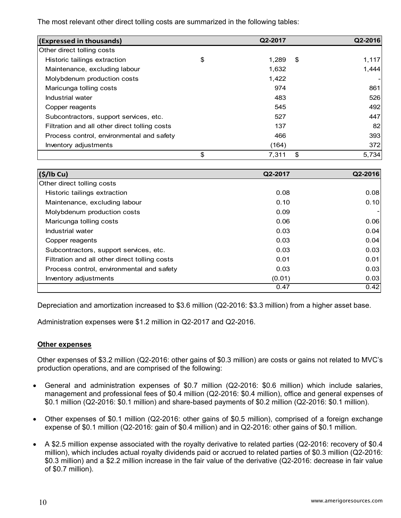The most relevant other direct tolling costs are summarized in the following tables:

| (Expressed in thousands)                      | Q2-2017     | Q2-2016     |
|-----------------------------------------------|-------------|-------------|
| Other direct tolling costs                    |             |             |
| Historic tailings extraction                  | \$<br>1,289 | \$<br>1,117 |
| Maintenance, excluding labour                 | 1,632       | 1,444       |
| Molybdenum production costs                   | 1,422       |             |
| Maricunga tolling costs                       | 974         | 861         |
| Industrial water                              | 483         | 526         |
| Copper reagents                               | 545         | 492         |
| Subcontractors, support services, etc.        | 527         | 447         |
| Filtration and all other direct tolling costs | 137         | 82          |
| Process control, environmental and safety     | 466         | 393         |
| Inventory adjustments                         | (164)       | 372         |
|                                               | \$<br>7.311 | \$<br>5,734 |

| (S/lb Cu)                                     | Q2-2017 | Q2-2016 |
|-----------------------------------------------|---------|---------|
| Other direct tolling costs                    |         |         |
| Historic tailings extraction                  | 0.08    | 0.08    |
| Maintenance, excluding labour                 | 0.10    | 0.10    |
| Molybdenum production costs                   | 0.09    |         |
| Maricunga tolling costs                       | 0.06    | 0.06    |
| Industrial water                              | 0.03    | 0.04    |
| Copper reagents                               | 0.03    | 0.04    |
| Subcontractors, support services, etc.        | 0.03    | 0.03    |
| Filtration and all other direct tolling costs | 0.01    | 0.01    |
| Process control, environmental and safety     | 0.03    | 0.03    |
| Inventory adjustments                         | (0.01)  | 0.03    |
|                                               | 0.47    | 0.42    |

Depreciation and amortization increased to \$3.6 million (Q2-2016: \$3.3 million) from a higher asset base.

Administration expenses were \$1.2 million in Q2-2017 and Q2-2016.

## **Other expenses**

Other expenses of \$3.2 million (Q2-2016: other gains of \$0.3 million) are costs or gains not related to MVC's production operations, and are comprised of the following:

- General and administration expenses of \$0.7 million (Q2-2016: \$0.6 million) which include salaries, management and professional fees of \$0.4 million (Q2-2016: \$0.4 million), office and general expenses of \$0.1 million (Q2-2016: \$0.1 million) and share-based payments of \$0.2 million (Q2-2016: \$0.1 million).
- Other expenses of \$0.1 million (Q2-2016: other gains of \$0.5 million), comprised of a foreign exchange expense of \$0.1 million (Q2-2016: gain of \$0.4 million) and in Q2-2016: other gains of \$0.1 million.
- A \$2.5 million expense associated with the royalty derivative to related parties (Q2-2016: recovery of \$0.4 million), which includes actual royalty dividends paid or accrued to related parties of \$0.3 million (Q2-2016: \$0.3 million) and a \$2.2 million increase in the fair value of the derivative (Q2-2016: decrease in fair value of \$0.7 million).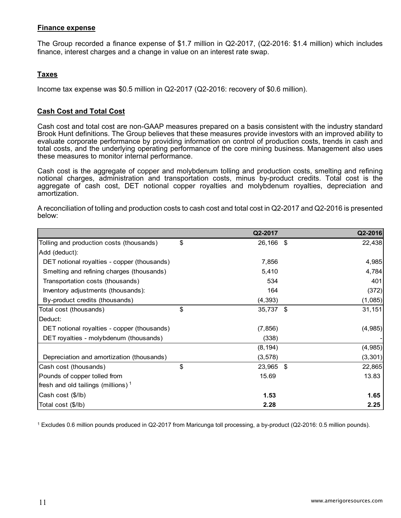### **Finance expense**

The Group recorded a finance expense of \$1.7 million in Q2-2017, (Q2-2016: \$1.4 million) which includes finance, interest charges and a change in value on an interest rate swap.

### **Taxes**

Income tax expense was \$0.5 million in Q2-2017 (Q2-2016: recovery of \$0.6 million).

## **Cash Cost and Total Cost**

Cash cost and total cost are non-GAAP measures prepared on a basis consistent with the industry standard Brook Hunt definitions. The Group believes that these measures provide investors with an improved ability to evaluate corporate performance by providing information on control of production costs, trends in cash and total costs, and the underlying operating performance of the core mining business. Management also uses these measures to monitor internal performance.

Cash cost is the aggregate of copper and molybdenum tolling and production costs, smelting and refining notional charges, administration and transportation costs, minus by-product credits. Total cost is the aggregate of cash cost, DET notional copper royalties and molybdenum royalties, depreciation and amortization.

A reconciliation of tolling and production costs to cash cost and total cost in Q2-2017 and Q2-2016 is presented below:

|                                                | Q2-2017         | Q2-2016  |
|------------------------------------------------|-----------------|----------|
| Tolling and production costs (thousands)       | \$<br>26,166 \$ | 22,438   |
| Add (deduct):                                  |                 |          |
| DET notional royalties - copper (thousands)    | 7,856           | 4,985    |
| Smelting and refining charges (thousands)      | 5,410           | 4,784    |
| Transportation costs (thousands)               | 534             | 401      |
| Inventory adjustments (thousands):             | 164             | (372)    |
| By-product credits (thousands)                 | (4, 393)        | (1,085)  |
| Total cost (thousands)                         | \$<br>35,737 \$ | 31,151   |
| Deduct:                                        |                 |          |
| DET notional royalties - copper (thousands)    | (7, 856)        | (4,985)  |
| DET royalties - molybdenum (thousands)         | (338)           |          |
|                                                | (8, 194)        | (4,985)  |
| Depreciation and amortization (thousands)      | (3, 578)        | (3, 301) |
| Cash cost (thousands)                          | \$<br>23,965 \$ | 22,865   |
| Pounds of copper tolled from                   | 15.69           | 13.83    |
| fresh and old tailings (millions) <sup>1</sup> |                 |          |
| Cash cost (\$/lb)                              | 1.53            | 1.65     |
| Total cost (\$/lb)                             | 2.28            | 2.25     |

1 Excludes 0.6 million pounds produced in Q2-2017 from Maricunga toll processing, a by-product (Q2-2016: 0.5 million pounds).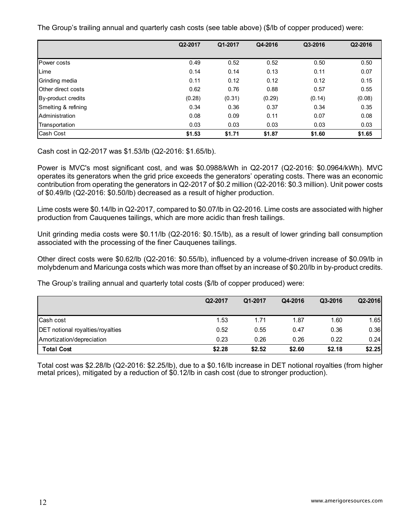The Group's trailing annual and quarterly cash costs (see table above) (\$/lb of copper produced) were:

|                     | Q2-2017 | Q1-2017 | Q4-2016 | Q3-2016 | Q2-2016 |
|---------------------|---------|---------|---------|---------|---------|
|                     |         |         |         |         |         |
| <b>Power costs</b>  | 0.49    | 0.52    | 0.52    | 0.50    | 0.50    |
| Lime                | 0.14    | 0.14    | 0.13    | 0.11    | 0.07    |
| Grinding media      | 0.11    | 0.12    | 0.12    | 0.12    | 0.15    |
| Other direct costs  | 0.62    | 0.76    | 0.88    | 0.57    | 0.55    |
| By-product credits  | (0.28)  | (0.31)  | (0.29)  | (0.14)  | (0.08)  |
| Smelting & refining | 0.34    | 0.36    | 0.37    | 0.34    | 0.35    |
| Administration      | 0.08    | 0.09    | 0.11    | 0.07    | 0.08    |
| Transportation      | 0.03    | 0.03    | 0.03    | 0.03    | 0.03    |
| <b>Cash Cost</b>    | \$1.53  | \$1.71  | \$1.87  | \$1.60  | \$1.65  |

Cash cost in Q2-2017 was \$1.53/lb (Q2-2016: \$1.65/lb).

Power is MVC's most significant cost, and was \$0.0988/kWh in Q2-2017 (Q2-2016: \$0.0964/kWh). MVC operates its generators when the grid price exceeds the generators' operating costs. There was an economic contribution from operating the generators in Q2-2017 of \$0.2 million (Q2-2016: \$0.3 million). Unit power costs of \$0.49/lb (Q2-2016: \$0.50/lb) decreased as a result of higher production.

Lime costs were \$0.14/lb in Q2-2017, compared to \$0.07/lb in Q2-2016. Lime costs are associated with higher production from Cauquenes tailings, which are more acidic than fresh tailings.

Unit grinding media costs were \$0.11/lb (Q2-2016: \$0.15/lb), as a result of lower grinding ball consumption associated with the processing of the finer Cauquenes tailings.

Other direct costs were \$0.62/lb (Q2-2016: \$0.55/lb), influenced by a volume-driven increase of \$0.09/lb in molybdenum and Maricunga costs which was more than offset by an increase of \$0.20/lb in by-product credits.

The Group's trailing annual and quarterly total costs (\$/lb of copper produced) were:

|                                         | Q2-2017 | Q1-2017 | Q4-2016 | Q3-2016 | Q2-2016 |
|-----------------------------------------|---------|---------|---------|---------|---------|
| Cash cost                               | 1.53    | 1.71    | 1.87    | 1.60    | 1.65    |
| <b>DET</b> notional royalties/royalties | 0.52    | 0.55    | 0.47    | 0.36    | 0.36    |
| Amortization/depreciation               | 0.23    | 0.26    | 0.26    | 0.22    | 0.24    |
| <b>Total Cost</b>                       | \$2.28  | \$2.52  | \$2.60  | \$2.18  | \$2.25  |

Total cost was \$2.28/lb (Q2-2016: \$2.25/lb), due to a \$0.16/lb increase in DET notional royalties (from higher metal prices), mitigated by a reduction of \$0.12/lb in cash cost (due to stronger production).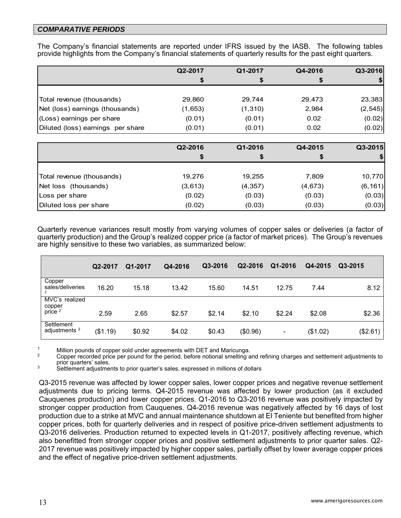### *COMPARATIVE PERIODS*

The Company's financial statements are reported under IFRS issued by the IASB. The following tables provide highlights from the Company's financial statements of quarterly results for the past eight quarters.

|                                   | Q2-2017 | Q1-2017  | Q4-2016 | Q3-2016  |
|-----------------------------------|---------|----------|---------|----------|
|                                   | \$      | \$       | \$      |          |
|                                   |         |          |         |          |
| Total revenue (thousands)         | 29,860  | 29,744   | 29,473  | 23,383   |
| Net (loss) earnings (thousands)   | (1,653) | (1, 310) | 2,984   | (2, 545) |
| (Loss) earnings per share         | (0.01)  | (0.01)   | 0.02    | (0.02)   |
| Diluted (loss) earnings per share | (0.01)  | (0.01)   | 0.02    | (0.02)   |
|                                   |         |          |         |          |
|                                   | Q2-2016 | Q1-2016  | Q4-2015 | Q3-2015  |
|                                   |         | \$       |         |          |
|                                   |         |          |         |          |
| Total revenue (thousands)         | 19,276  | 19,255   | 7,809   | 10,770   |
| Net loss (thousands)              | (3,613) | (4, 357) | (4,673) | (6, 161) |
| Loss per share                    | (0.02)  | (0.03)   | (0.03)  | (0.03)   |
| Diluted loss per share            | (0.02)  | (0.03)   | (0.03)  | (0.03)   |

Quarterly revenue variances result mostly from varying volumes of copper sales or deliveries (a factor of quarterly production) and the Group's realized copper price (a factor of market prices). The Group's revenues are highly sensitive to these two variables, as summarized below:

|                                       | Q2-2017  | Q1-2017 | Q4-2016 | Q3-2016 | Q2-2016  | Q1-2016 | Q4-2015  | Q3-2015  |
|---------------------------------------|----------|---------|---------|---------|----------|---------|----------|----------|
| Copper<br>sales/deliveries            | 16.20    | 15.18   | 13.42   | 15.60   | 14.51    | 12.75   | 7.44     | 8.12     |
| MVC's realized<br>copper<br>price $2$ | 2.59     | 2.65    | \$2.57  | \$2.14  | \$2.10   | \$2.24  | \$2.08   | \$2.36   |
| Settlement<br>adjustments $3$         | (\$1.19) | \$0.92  | \$4.02  | \$0.43  | (\$0.96) | -       | (\$1.02) | (\$2.61) |

 $\frac{1}{2}$  Million pounds of copper sold under agreements with DET and Maricunga.<br><sup>2</sup> Copper recorded price per pound for the period, before notional smelting and refining charges and settlement adjustments to<br>prior quarte

<sup>3</sup> Settlement adjustments to prior quarter's sales, expressed in millions of dollars

Q3-2015 revenue was affected by lower copper sales, lower copper prices and negative revenue settlement adjustments due to pricing terms. Q4-2015 revenue was affected by lower production (as it excluded Cauquenes production) and lower copper prices. Q1-2016 to Q3-2016 revenue was positively impacted by stronger copper production from Cauquenes. Q4-2016 revenue was negatively affected by 16 days of lost production due to a strike at MVC and annual maintenance shutdown at El Teniente but benefited from higher copper prices, both for quarterly deliveries and in respect of positive price-driven settlement adjustments to Q3-2016 deliveries. Production returned to expected levels in Q1-2017, positively affecting revenue, which also benefitted from stronger copper prices and positive settlement adjustments to prior quarter sales. Q2- 2017 revenue was positively impacted by higher copper sales, partially offset by lower average copper prices and the effect of negative price-driven settlement adjustments.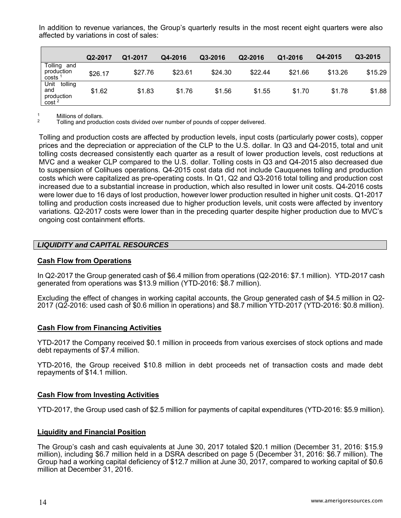In addition to revenue variances, the Group's quarterly results in the most recent eight quarters were also affected by variations in cost of sales:

|                                                           | Q2-2017 | Q1-2017 | Q4-2016 | Q3-2016 | Q2-2016 | Q1-2016 | Q4-2015 | Q3-2015 |
|-----------------------------------------------------------|---------|---------|---------|---------|---------|---------|---------|---------|
| Tolling<br>and<br>production<br>costs                     | \$26.17 | \$27.76 | \$23.61 | \$24.30 | \$22.44 | \$21.66 | \$13.26 | \$15.29 |
| Unit<br>tolling<br>and<br>production<br>cost <sup>2</sup> | \$1.62  | \$1.83  | \$1.76  | \$1.56  | \$1.55  | \$1.70  | \$1.78  | \$1.88  |

 $\frac{1}{2}$  Millions of dollars.

Tolling and production costs divided over number of pounds of copper delivered.

Tolling and production costs are affected by production levels, input costs (particularly power costs), copper prices and the depreciation or appreciation of the CLP to the U.S. dollar. In Q3 and Q4-2015, total and unit tolling costs decreased consistently each quarter as a result of lower production levels, cost reductions at MVC and a weaker CLP compared to the U.S. dollar. Tolling costs in Q3 and Q4-2015 also decreased due to suspension of Colihues operations. Q4-2015 cost data did not include Cauquenes tolling and production costs which were capitalized as pre-operating costs. In Q1, Q2 and Q3-2016 total tolling and production cost increased due to a substantial increase in production, which also resulted in lower unit costs. Q4-2016 costs were lower due to 16 days of lost production, however lower production resulted in higher unit costs. Q1-2017 tolling and production costs increased due to higher production levels, unit costs were affected by inventory variations. Q2-2017 costs were lower than in the preceding quarter despite higher production due to MVC's ongoing cost containment efforts.

## *LIQUIDITY and CAPITAL RESOURCES*

### **Cash Flow from Operations**

In Q2-2017 the Group generated cash of \$6.4 million from operations (Q2-2016: \$7.1 million). YTD-2017 cash generated from operations was \$13.9 million (YTD-2016: \$8.7 million).

Excluding the effect of changes in working capital accounts, the Group generated cash of \$4.5 million in Q2- 2017 (Q2-2016: used cash of \$0.6 million in operations) and \$8.7 million YTD-2017 (YTD-2016: \$0.8 million).

## **Cash Flow from Financing Activities**

YTD-2017 the Company received \$0.1 million in proceeds from various exercises of stock options and made debt repayments of \$7.4 million.

YTD-2016, the Group received \$10.8 million in debt proceeds net of transaction costs and made debt repayments of \$14.1 million.

## **Cash Flow from Investing Activities**

YTD-2017, the Group used cash of \$2.5 million for payments of capital expenditures (YTD-2016: \$5.9 million).

#### **Liquidity and Financial Position**

The Group's cash and cash equivalents at June 30, 2017 totaled \$20.1 million (December 31, 2016: \$15.9 million), including \$6.7 million held in a DSRA described on page 5 (December 31, 2016: \$6.7 million). The Group had a working capital deficiency of \$12.7 million at June 30, 2017, compared to working capital of \$0.6 million at December 31, 2016.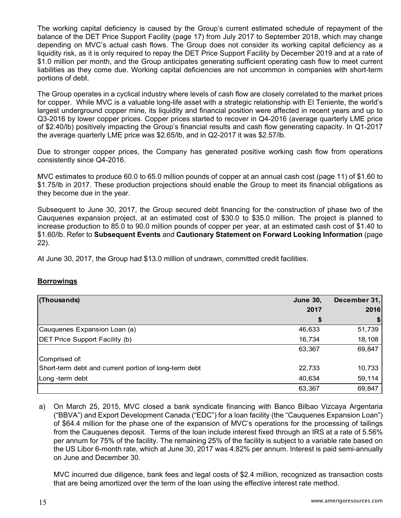The working capital deficiency is caused by the Group's current estimated schedule of repayment of the balance of the DET Price Support Facility (page 17) from July 2017 to September 2018, which may change depending on MVC's actual cash flows. The Group does not consider its working capital deficiency as a liquidity risk, as it is only required to repay the DET Price Support Facility by December 2019 and at a rate of \$1.0 million per month, and the Group anticipates generating sufficient operating cash flow to meet current liabilities as they come due. Working capital deficiencies are not uncommon in companies with short-term portions of debt.

The Group operates in a cyclical industry where levels of cash flow are closely correlated to the market prices for copper. While MVC is a valuable long-life asset with a strategic relationship with El Teniente, the world's largest underground copper mine, its liquidity and financial position were affected in recent years and up to Q3-2016 by lower copper prices. Copper prices started to recover in Q4-2016 (average quarterly LME price of \$2.40/lb) positively impacting the Group's financial results and cash flow generating capacity. In Q1-2017 the average quarterly LME price was \$2.65/lb, and in Q2-2017 it was \$2.57/lb.

Due to stronger copper prices, the Company has generated positive working cash flow from operations consistently since Q4-2016.

MVC estimates to produce 60.0 to 65.0 million pounds of copper at an annual cash cost (page 11) of \$1.60 to \$1.75/lb in 2017. These production projections should enable the Group to meet its financial obligations as they become due in the year.

Subsequent to June 30, 2017, the Group secured debt financing for the construction of phase two of the Cauquenes expansion project, at an estimated cost of \$30.0 to \$35.0 million. The project is planned to increase production to 85.0 to 90.0 million pounds of copper per year, at an estimated cash cost of \$1.40 to \$1.60/lb. Refer to **Subsequent Events** and **Cautionary Statement on Forward Looking Information** (page 22).

At June 30, 2017, the Group had \$13.0 million of undrawn, committed credit facilities.

#### **Borrowings**

| (Thousands)                                           | <b>June 30,</b> | December 31, |
|-------------------------------------------------------|-----------------|--------------|
|                                                       | 2017            | 2016         |
|                                                       | \$              | \$           |
| Cauquenes Expansion Loan (a)                          | 46,633          | 51,739       |
| DET Price Support Facility (b)                        | 16,734          | 18,108       |
|                                                       | 63,367          | 69,847       |
| Comprised of:                                         |                 |              |
| Short-term debt and current portion of long-term debt | 22,733          | 10,733       |
| Long -term debt                                       | 40,634          | 59,114       |
|                                                       | 63,367          | 69,847       |

a) On March 25, 2015, MVC closed a bank syndicate financing with Banco Bilbao Vizcaya Argentaria ("BBVA") and Export Development Canada ("EDC") for a loan facility (the "Cauquenes Expansion Loan") of \$64.4 million for the phase one of the expansion of MVC's operations for the processing of tailings from the Cauquenes deposit. Terms of the loan include interest fixed through an IRS at a rate of 5.56% per annum for 75% of the facility. The remaining 25% of the facility is subject to a variable rate based on the US Libor 6-month rate, which at June 30, 2017 was 4.82% per annum. Interest is paid semi-annually on June and December 30.

MVC incurred due diligence, bank fees and legal costs of \$2.4 million, recognized as transaction costs that are being amortized over the term of the loan using the effective interest rate method.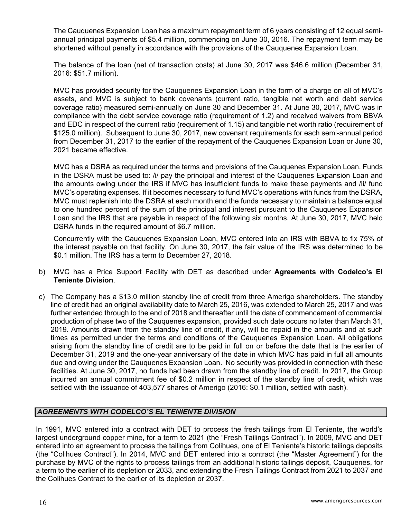The Cauquenes Expansion Loan has a maximum repayment term of 6 years consisting of 12 equal semiannual principal payments of \$5.4 million, commencing on June 30, 2016. The repayment term may be shortened without penalty in accordance with the provisions of the Cauquenes Expansion Loan.

The balance of the loan (net of transaction costs) at June 30, 2017 was \$46.6 million (December 31, 2016: \$51.7 million).

MVC has provided security for the Cauquenes Expansion Loan in the form of a charge on all of MVC's assets, and MVC is subject to bank covenants (current ratio, tangible net worth and debt service coverage ratio) measured semi-annually on June 30 and December 31. At June 30, 2017, MVC was in compliance with the debt service coverage ratio (requirement of 1.2) and received waivers from BBVA and EDC in respect of the current ratio (requirement of 1.15) and tangible net worth ratio (requirement of \$125.0 million). Subsequent to June 30, 2017, new covenant requirements for each semi-annual period from December 31, 2017 to the earlier of the repayment of the Cauquenes Expansion Loan or June 30, 2021 became effective.

MVC has a DSRA as required under the terms and provisions of the Cauquenes Expansion Loan. Funds in the DSRA must be used to: /i/ pay the principal and interest of the Cauquenes Expansion Loan and the amounts owing under the IRS if MVC has insufficient funds to make these payments and /ii/ fund MVC's operating expenses. If it becomes necessary to fund MVC's operations with funds from the DSRA, MVC must replenish into the DSRA at each month end the funds necessary to maintain a balance equal to one hundred percent of the sum of the principal and interest pursuant to the Cauquenes Expansion Loan and the IRS that are payable in respect of the following six months. At June 30, 2017, MVC held DSRA funds in the required amount of \$6.7 million.

Concurrently with the Cauquenes Expansion Loan, MVC entered into an IRS with BBVA to fix 75% of the interest payable on that facility. On June 30, 2017, the fair value of the IRS was determined to be \$0.1 million. The IRS has a term to December 27, 2018.

- b) MVC has a Price Support Facility with DET as described under **Agreements with Codelco's El Teniente Division**.
- c) The Company has a \$13.0 million standby line of credit from three Amerigo shareholders. The standby line of credit had an original availability date to March 25, 2016, was extended to March 25, 2017 and was further extended through to the end of 2018 and thereafter until the date of commencement of commercial production of phase two of the Cauquenes expansion, provided such date occurs no later than March 31, 2019. Amounts drawn from the standby line of credit, if any, will be repaid in the amounts and at such times as permitted under the terms and conditions of the Cauquenes Expansion Loan. All obligations arising from the standby line of credit are to be paid in full on or before the date that is the earlier of December 31, 2019 and the one-year anniversary of the date in which MVC has paid in full all amounts due and owing under the Cauquenes Expansion Loan. No security was provided in connection with these facilities. At June 30, 2017, no funds had been drawn from the standby line of credit. In 2017, the Group incurred an annual commitment fee of \$0.2 million in respect of the standby line of credit, which was settled with the issuance of 403,577 shares of Amerigo (2016: \$0.1 million, settled with cash).

## *AGREEMENTS WITH CODELCO'S EL TENIENTE DIVISION*

In 1991, MVC entered into a contract with DET to process the fresh tailings from El Teniente, the world's largest underground copper mine, for a term to 2021 (the "Fresh Tailings Contract"). In 2009, MVC and DET entered into an agreement to process the tailings from Colihues, one of El Teniente's historic tailings deposits (the "Colihues Contract"). In 2014, MVC and DET entered into a contract (the "Master Agreement") for the purchase by MVC of the rights to process tailings from an additional historic tailings deposit, Cauquenes, for a term to the earlier of its depletion or 2033, and extending the Fresh Tailings Contract from 2021 to 2037 and the Colihues Contract to the earlier of its depletion or 2037.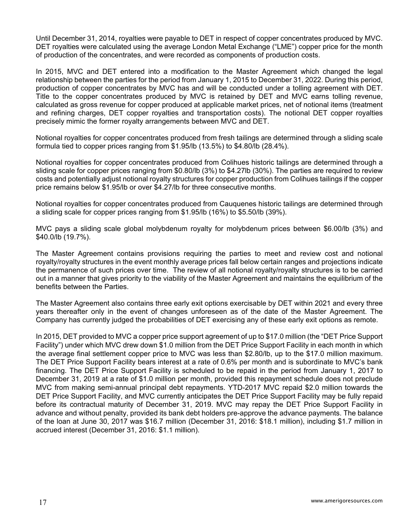Until December 31, 2014, royalties were payable to DET in respect of copper concentrates produced by MVC. DET royalties were calculated using the average London Metal Exchange ("LME") copper price for the month of production of the concentrates, and were recorded as components of production costs.

In 2015, MVC and DET entered into a modification to the Master Agreement which changed the legal relationship between the parties for the period from January 1, 2015 to December 31, 2022. During this period, production of copper concentrates by MVC has and will be conducted under a tolling agreement with DET. Title to the copper concentrates produced by MVC is retained by DET and MVC earns tolling revenue, calculated as gross revenue for copper produced at applicable market prices, net of notional items (treatment and refining charges, DET copper royalties and transportation costs). The notional DET copper royalties precisely mimic the former royalty arrangements between MVC and DET.

Notional royalties for copper concentrates produced from fresh tailings are determined through a sliding scale formula tied to copper prices ranging from \$1.95/lb (13.5%) to \$4.80/lb (28.4%).

Notional royalties for copper concentrates produced from Colihues historic tailings are determined through a sliding scale for copper prices ranging from \$0.80/lb (3%) to \$4.27lb (30%). The parties are required to review costs and potentially adjust notional royalty structures for copper production from Colihues tailings if the copper price remains below \$1.95/lb or over \$4.27/lb for three consecutive months.

Notional royalties for copper concentrates produced from Cauquenes historic tailings are determined through a sliding scale for copper prices ranging from \$1.95/lb (16%) to \$5.50/lb (39%).

MVC pays a sliding scale global molybdenum royalty for molybdenum prices between \$6.00/lb (3%) and \$40.0/lb (19.7%).

The Master Agreement contains provisions requiring the parties to meet and review cost and notional royalty/royalty structures in the event monthly average prices fall below certain ranges and projections indicate the permanence of such prices over time. The review of all notional royalty/royalty structures is to be carried out in a manner that gives priority to the viability of the Master Agreement and maintains the equilibrium of the benefits between the Parties.

The Master Agreement also contains three early exit options exercisable by DET within 2021 and every three years thereafter only in the event of changes unforeseen as of the date of the Master Agreement. The Company has currently judged the probabilities of DET exercising any of these early exit options as remote.

In 2015, DET provided to MVC a copper price support agreement of up to \$17.0 million (the "DET Price Support Facility") under which MVC drew down \$1.0 million from the DET Price Support Facility in each month in which the average final settlement copper price to MVC was less than \$2.80/lb, up to the \$17.0 million maximum. The DET Price Support Facility bears interest at a rate of 0.6% per month and is subordinate to MVC's bank financing. The DET Price Support Facility is scheduled to be repaid in the period from January 1, 2017 to December 31, 2019 at a rate of \$1.0 million per month, provided this repayment schedule does not preclude MVC from making semi-annual principal debt repayments. YTD-2017 MVC repaid \$2.0 million towards the DET Price Support Facility, and MVC currently anticipates the DET Price Support Facility may be fully repaid before its contractual maturity of December 31, 2019. MVC may repay the DET Price Support Facility in advance and without penalty, provided its bank debt holders pre-approve the advance payments. The balance of the loan at June 30, 2017 was \$16.7 million (December 31, 2016: \$18.1 million), including \$1.7 million in accrued interest (December 31, 2016: \$1.1 million).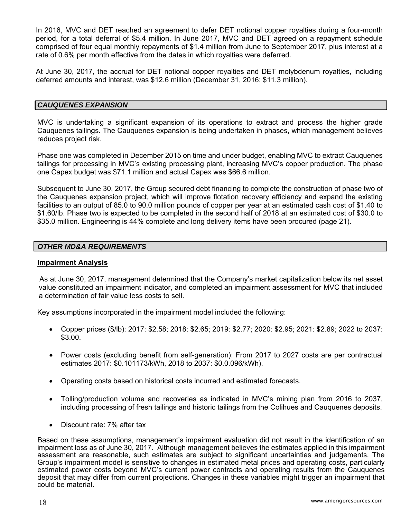In 2016, MVC and DET reached an agreement to defer DET notional copper royalties during a four-month period, for a total deferral of \$5.4 million. In June 2017, MVC and DET agreed on a repayment schedule comprised of four equal monthly repayments of \$1.4 million from June to September 2017, plus interest at a rate of 0.6% per month effective from the dates in which royalties were deferred.

At June 30, 2017, the accrual for DET notional copper royalties and DET molybdenum royalties, including deferred amounts and interest, was \$12.6 million (December 31, 2016: \$11.3 million).

### *CAUQUENES EXPANSION*

MVC is undertaking a significant expansion of its operations to extract and process the higher grade Cauquenes tailings. The Cauquenes expansion is being undertaken in phases, which management believes reduces project risk.

Phase one was completed in December 2015 on time and under budget, enabling MVC to extract Cauquenes tailings for processing in MVC's existing processing plant, increasing MVC's copper production. The phase one Capex budget was \$71.1 million and actual Capex was \$66.6 million.

Subsequent to June 30, 2017, the Group secured debt financing to complete the construction of phase two of the Cauquenes expansion project, which will improve flotation recovery efficiency and expand the existing facilities to an output of 85.0 to 90.0 million pounds of copper per year at an estimated cash cost of \$1.40 to \$1.60/lb. Phase two is expected to be completed in the second half of 2018 at an estimated cost of \$30.0 to \$35.0 million. Engineering is 44% complete and long delivery items have been procured (page 21).

## *OTHER MD&A REQUIREMENTS*

#### **Impairment Analysis**

As at June 30, 2017, management determined that the Company's market capitalization below its net asset value constituted an impairment indicator, and completed an impairment assessment for MVC that included a determination of fair value less costs to sell.

Key assumptions incorporated in the impairment model included the following:

- Copper prices (\$/lb): 2017: \$2.58; 2018: \$2.65; 2019: \$2.77; 2020: \$2.95; 2021: \$2.89; 2022 to 2037: \$3.00.
- Power costs (excluding benefit from self-generation): From 2017 to 2027 costs are per contractual estimates 2017: \$0.101173/kWh, 2018 to 2037: \$0.0.096/kWh).
- Operating costs based on historical costs incurred and estimated forecasts.
- Tolling/production volume and recoveries as indicated in MVC's mining plan from 2016 to 2037, including processing of fresh tailings and historic tailings from the Colihues and Cauquenes deposits.
- Discount rate: 7% after tax

Based on these assumptions, management's impairment evaluation did not result in the identification of an impairment loss as of June 30, 2017. Although management believes the estimates applied in this impairment assessment are reasonable, such estimates are subject to significant uncertainties and judgements. The Group's impairment model is sensitive to changes in estimated metal prices and operating costs, particularly estimated power costs beyond MVC's current power contracts and operating results from the Cauquenes deposit that may differ from current projections. Changes in these variables might trigger an impairment that could be material.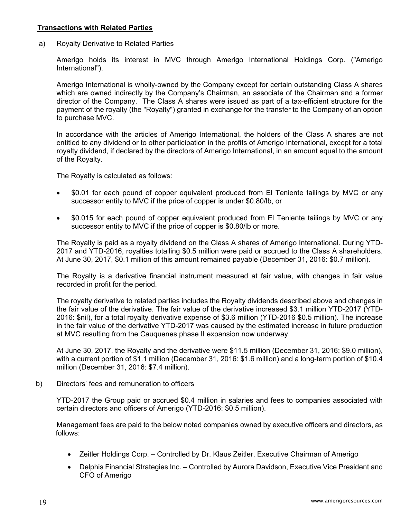### **Transactions with Related Parties**

a) Royalty Derivative to Related Parties

Amerigo holds its interest in MVC through Amerigo International Holdings Corp. ("Amerigo International").

Amerigo International is wholly-owned by the Company except for certain outstanding Class A shares which are owned indirectly by the Company's Chairman, an associate of the Chairman and a former director of the Company. The Class A shares were issued as part of a tax-efficient structure for the payment of the royalty (the "Royalty") granted in exchange for the transfer to the Company of an option to purchase MVC.

In accordance with the articles of Amerigo International, the holders of the Class A shares are not entitled to any dividend or to other participation in the profits of Amerigo International, except for a total royalty dividend, if declared by the directors of Amerigo International, in an amount equal to the amount of the Royalty.

The Royalty is calculated as follows:

- \$0.01 for each pound of copper equivalent produced from El Teniente tailings by MVC or any successor entity to MVC if the price of copper is under \$0.80/lb, or
- \$0.015 for each pound of copper equivalent produced from El Teniente tailings by MVC or any successor entity to MVC if the price of copper is \$0.80/lb or more.

The Royalty is paid as a royalty dividend on the Class A shares of Amerigo International. During YTD-2017 and YTD-2016, royalties totalling \$0.5 million were paid or accrued to the Class A shareholders. At June 30, 2017, \$0.1 million of this amount remained payable (December 31, 2016: \$0.7 million).

The Royalty is a derivative financial instrument measured at fair value, with changes in fair value recorded in profit for the period.

The royalty derivative to related parties includes the Royalty dividends described above and changes in the fair value of the derivative. The fair value of the derivative increased \$3.1 million YTD-2017 (YTD-2016: \$nil), for a total royalty derivative expense of \$3.6 million (YTD-2016 \$0.5 million). The increase in the fair value of the derivative YTD-2017 was caused by the estimated increase in future production at MVC resulting from the Cauquenes phase II expansion now underway.

At June 30, 2017, the Royalty and the derivative were \$11.5 million (December 31, 2016: \$9.0 million), with a current portion of \$1.1 million (December 31, 2016: \$1.6 million) and a long-term portion of \$10.4 million (December 31, 2016: \$7.4 million).

b) Directors' fees and remuneration to officers

 YTD-2017 the Group paid or accrued \$0.4 million in salaries and fees to companies associated with certain directors and officers of Amerigo (YTD-2016: \$0.5 million).

 Management fees are paid to the below noted companies owned by executive officers and directors, as follows:

- Zeitler Holdings Corp. Controlled by Dr. Klaus Zeitler, Executive Chairman of Amerigo
- Delphis Financial Strategies Inc. Controlled by Aurora Davidson, Executive Vice President and CFO of Amerigo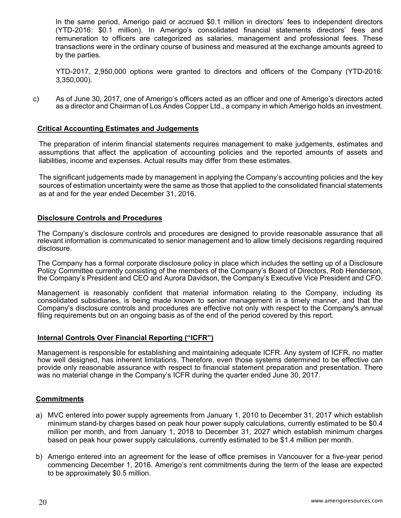In the same period, Amerigo paid or accrued \$0.1 million in directors' fees to independent directors (YTD-2016: \$0.1 million). In Amerigo's consolidated financial statements directors' fees and remuneration to officers are categorized as salaries, management and professional fees. These transactions were in the ordinary course of business and measured at the exchange amounts agreed to by the parties.

YTD-2017, 2,950,000 options were granted to directors and officers of the Company (YTD-2016: 3,350,000).

c) As of June 30, 2017, one of Amerigo's officers acted as an officer and one of Amerigo's directors acted as a director and Chairman of Los Andes Copper Ltd., a company in which Amerigo holds an investment.

#### **Critical Accounting Estimates and Judgements**

The preparation of interim financial statements requires management to make judgements, estimates and assumptions that affect the application of accounting policies and the reported amounts of assets and liabilities, income and expenses. Actual results may differ from these estimates.

The significant judgements made by management in applying the Company's accounting policies and the key sources of estimation uncertainty were the same as those that applied to the consolidated financial statements as at and for the year ended December 31, 2016.

#### **Disclosure Controls and Procedures**

The Company's disclosure controls and procedures are designed to provide reasonable assurance that all relevant information is communicated to senior management and to allow timely decisions regarding required disclosure.

The Company has a formal corporate disclosure policy in place which includes the setting up of a Disclosure Policy Committee currently consisting of the members of the Company's Board of Directors, Rob Henderson, the Company's President and CEO and Aurora Davidson, the Company's Executive Vice President and CFO.

Management is reasonably confident that material information relating to the Company, including its consolidated subsidiaries, is being made known to senior management in a timely manner, and that the Company's disclosure controls and procedures are effective not only with respect to the Company's annual filing requirements but on an ongoing basis as of the end of the period covered by this report.

#### **Internal Controls Over Financial Reporting ("ICFR")**

Management is responsible for establishing and maintaining adequate ICFR. Any system of ICFR, no matter how well designed, has inherent limitations. Therefore, even those systems determined to be effective can provide only reasonable assurance with respect to financial statement preparation and presentation. There was no material change in the Company's ICFR during the quarter ended June 30, 2017.

#### **Commitments**

- a) MVC entered into power supply agreements from January 1, 2010 to December 31, 2017 which establish minimum stand-by charges based on peak hour power supply calculations, currently estimated to be \$0.4 million per month, and from January 1, 2018 to December 31, 2027 which establish minimum charges based on peak hour power supply calculations, currently estimated to be \$1.4 million per month.
- b) Amerigo entered into an agreement for the lease of office premises in Vancouver for a five-year period commencing December 1, 2016. Amerigo's rent commitments during the term of the lease are expected to be approximately \$0.5 million.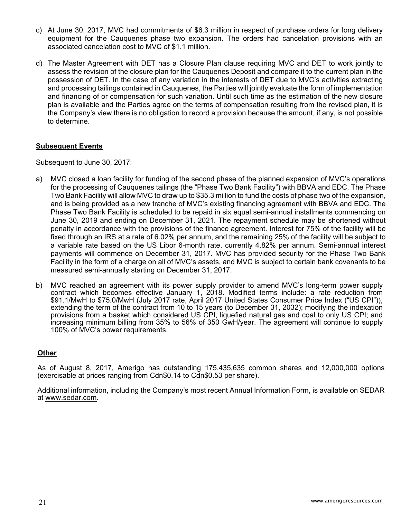- c) At June 30, 2017, MVC had commitments of \$6.3 million in respect of purchase orders for long delivery equipment for the Cauquenes phase two expansion. The orders had cancelation provisions with an associated cancelation cost to MVC of \$1.1 million.
- d) The Master Agreement with DET has a Closure Plan clause requiring MVC and DET to work jointly to assess the revision of the closure plan for the Cauquenes Deposit and compare it to the current plan in the possession of DET. In the case of any variation in the interests of DET due to MVC's activities extracting and processing tailings contained in Cauquenes, the Parties will jointly evaluate the form of implementation and financing of or compensation for such variation. Until such time as the estimation of the new closure plan is available and the Parties agree on the terms of compensation resulting from the revised plan, it is the Company's view there is no obligation to record a provision because the amount, if any, is not possible to determine.

## **Subsequent Events**

Subsequent to June 30, 2017:

- a) MVC closed a loan facility for funding of the second phase of the planned expansion of MVC's operations for the processing of Cauquenes tailings (the "Phase Two Bank Facility") with BBVA and EDC. The Phase Two Bank Facility will allow MVC to draw up to \$35.3 million to fund the costs of phase two of the expansion, and is being provided as a new tranche of MVC's existing financing agreement with BBVA and EDC. The Phase Two Bank Facility is scheduled to be repaid in six equal semi-annual installments commencing on June 30, 2019 and ending on December 31, 2021. The repayment schedule may be shortened without penalty in accordance with the provisions of the finance agreement. Interest for 75% of the facility will be fixed through an IRS at a rate of 6.02% per annum, and the remaining 25% of the facility will be subject to a variable rate based on the US Libor 6-month rate, currently 4.82% per annum. Semi-annual interest payments will commence on December 31, 2017. MVC has provided security for the Phase Two Bank Facility in the form of a charge on all of MVC's assets, and MVC is subject to certain bank covenants to be measured semi-annually starting on December 31, 2017.
- b) MVC reached an agreement with its power supply provider to amend MVC's long-term power supply contract which becomes effective January 1, 2018. Modified terms include: a rate reduction from \$91.1/MwH to \$75.0/MwH (July 2017 rate, April 2017 United States Consumer Price Index ("US CPI")), extending the term of the contract from 10 to 15 years (to December 31, 2032); modifying the indexation provisions from a basket which considered US CPI, liquefied natural gas and coal to only US CPI; and increasing minimum billing from 35% to 56% of 350 GwH/year. The agreement will continue to supply 100% of MVC's power requirements.

## **Other**

As of August 8, 2017, Amerigo has outstanding 175,435,635 common shares and 12,000,000 options (exercisable at prices ranging from Cdn\$0.14 to Cdn\$0.53 per share).

Additional information, including the Company's most recent Annual Information Form, is available on SEDAR at www.sedar.com.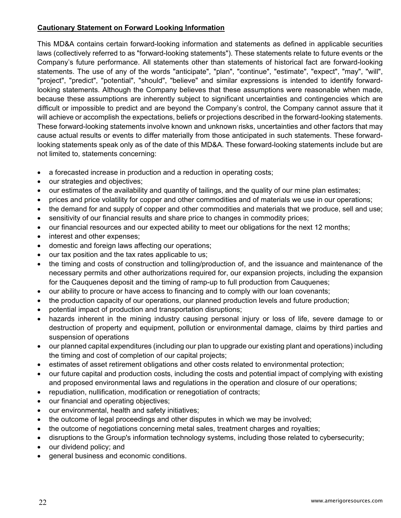# **Cautionary Statement on Forward Looking Information**

This MD&A contains certain forward-looking information and statements as defined in applicable securities laws (collectively referred to as "forward-looking statements"). These statements relate to future events or the Company's future performance. All statements other than statements of historical fact are forward-looking statements. The use of any of the words "anticipate", "plan", "continue", "estimate", "expect", "may", "will", "project", "predict", "potential", "should", "believe" and similar expressions is intended to identify forwardlooking statements. Although the Company believes that these assumptions were reasonable when made, because these assumptions are inherently subject to significant uncertainties and contingencies which are difficult or impossible to predict and are beyond the Company's control, the Company cannot assure that it will achieve or accomplish the expectations, beliefs or projections described in the forward-looking statements. These forward-looking statements involve known and unknown risks, uncertainties and other factors that may cause actual results or events to differ materially from those anticipated in such statements. These forwardlooking statements speak only as of the date of this MD&A. These forward-looking statements include but are not limited to, statements concerning:

- a forecasted increase in production and a reduction in operating costs;
- our strategies and objectives;
- our estimates of the availability and quantity of tailings, and the quality of our mine plan estimates;
- prices and price volatility for copper and other commodities and of materials we use in our operations;
- the demand for and supply of copper and other commodities and materials that we produce, sell and use;
- sensitivity of our financial results and share price to changes in commodity prices;
- our financial resources and our expected ability to meet our obligations for the next 12 months;
- interest and other expenses;
- domestic and foreign laws affecting our operations;
- our tax position and the tax rates applicable to us;
- the timing and costs of construction and tolling/production of, and the issuance and maintenance of the necessary permits and other authorizations required for, our expansion projects, including the expansion for the Cauquenes deposit and the timing of ramp-up to full production from Cauquenes;
- our ability to procure or have access to financing and to comply with our loan covenants;
- the production capacity of our operations, our planned production levels and future production;
- potential impact of production and transportation disruptions;
- hazards inherent in the mining industry causing personal injury or loss of life, severe damage to or destruction of property and equipment, pollution or environmental damage, claims by third parties and suspension of operations
- our planned capital expenditures (including our plan to upgrade our existing plant and operations) including the timing and cost of completion of our capital projects;
- estimates of asset retirement obligations and other costs related to environmental protection;
- our future capital and production costs, including the costs and potential impact of complying with existing and proposed environmental laws and regulations in the operation and closure of our operations;
- repudiation, nullification, modification or renegotiation of contracts;
- our financial and operating objectives;
- our environmental, health and safety initiatives;
- the outcome of legal proceedings and other disputes in which we may be involved;
- the outcome of negotiations concerning metal sales, treatment charges and royalties;
- disruptions to the Group's information technology systems, including those related to cybersecurity;
- our dividend policy; and
- general business and economic conditions.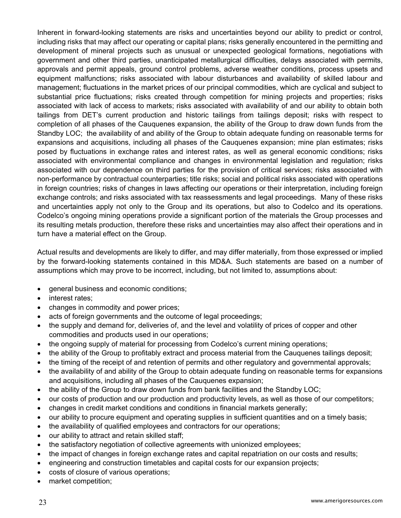Inherent in forward-looking statements are risks and uncertainties beyond our ability to predict or control, including risks that may affect our operating or capital plans; risks generally encountered in the permitting and development of mineral projects such as unusual or unexpected geological formations, negotiations with government and other third parties, unanticipated metallurgical difficulties, delays associated with permits, approvals and permit appeals, ground control problems, adverse weather conditions, process upsets and equipment malfunctions; risks associated with labour disturbances and availability of skilled labour and management; fluctuations in the market prices of our principal commodities, which are cyclical and subject to substantial price fluctuations; risks created through competition for mining projects and properties; risks associated with lack of access to markets; risks associated with availability of and our ability to obtain both tailings from DET's current production and historic tailings from tailings deposit; risks with respect to completion of all phases of the Cauquenes expansion, the ability of the Group to draw down funds from the Standby LOC; the availability of and ability of the Group to obtain adequate funding on reasonable terms for expansions and acquisitions, including all phases of the Cauquenes expansion; mine plan estimates; risks posed by fluctuations in exchange rates and interest rates, as well as general economic conditions; risks associated with environmental compliance and changes in environmental legislation and regulation; risks associated with our dependence on third parties for the provision of critical services; risks associated with non-performance by contractual counterparties; title risks; social and political risks associated with operations in foreign countries; risks of changes in laws affecting our operations or their interpretation, including foreign exchange controls; and risks associated with tax reassessments and legal proceedings. Many of these risks and uncertainties apply not only to the Group and its operations, but also to Codelco and its operations. Codelco's ongoing mining operations provide a significant portion of the materials the Group processes and its resulting metals production, therefore these risks and uncertainties may also affect their operations and in turn have a material effect on the Group.

Actual results and developments are likely to differ, and may differ materially, from those expressed or implied by the forward-looking statements contained in this MD&A. Such statements are based on a number of assumptions which may prove to be incorrect, including, but not limited to, assumptions about:

- general business and economic conditions;
- interest rates;
- changes in commodity and power prices;
- acts of foreign governments and the outcome of legal proceedings;
- the supply and demand for, deliveries of, and the level and volatility of prices of copper and other commodities and products used in our operations;
- the ongoing supply of material for processing from Codelco's current mining operations;
- the ability of the Group to profitably extract and process material from the Cauquenes tailings deposit;
- the timing of the receipt of and retention of permits and other regulatory and governmental approvals;
- the availability of and ability of the Group to obtain adequate funding on reasonable terms for expansions and acquisitions, including all phases of the Cauquenes expansion;
- the ability of the Group to draw down funds from bank facilities and the Standby LOC;
- our costs of production and our production and productivity levels, as well as those of our competitors;
- changes in credit market conditions and conditions in financial markets generally;
- our ability to procure equipment and operating supplies in sufficient quantities and on a timely basis;
- the availability of qualified employees and contractors for our operations;
- our ability to attract and retain skilled staff;
- the satisfactory negotiation of collective agreements with unionized employees;
- the impact of changes in foreign exchange rates and capital repatriation on our costs and results;
- engineering and construction timetables and capital costs for our expansion projects;
- costs of closure of various operations;
- market competition;